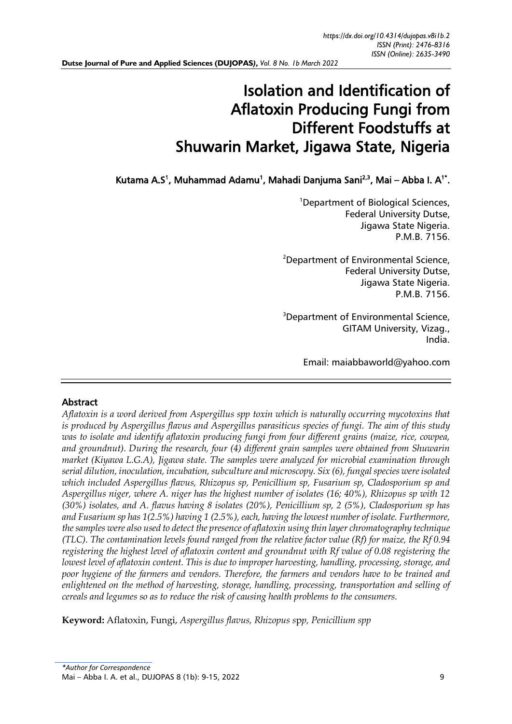# Isolation and Identification of Aflatoxin Producing Fungi from Different Foodstuffs at Shuwarin Market, Jigawa State, Nigeria

Kutama A.S<sup>1</sup>, Muhammad Adamu<sup>1</sup>, Mahadi Danjuma Sani<sup>2,3</sup>, Mai – Abba I. A<sup>1\*</sup>.

<sup>1</sup>Department of Biological Sciences, Federal University Dutse, Jigawa State Nigeria. P.M.B. 7156.

<sup>2</sup>Department of Environmental Science, Federal University Dutse, Jigawa State Nigeria. P.M.B. 7156.

<sup>3</sup>Department of Environmental Science, GITAM University, Vizag., India.

Email: [maiabbaworld@yahoo.com](mailto:maiabbaworld@yahoo.com) 

# Abstract

*Aflatoxin is a word derived from Aspergillus spp toxin which is naturally occurring mycotoxins that is produced by Aspergillus flavus and Aspergillus parasiticus species of fungi. The aim of this study was to isolate and identify aflatoxin producing fungi from four different grains (maize, rice, cowpea, and groundnut). During the research, four (4) different grain samples were obtained from Shuwarin market (Kiyawa L.G.A), Jigawa state. The samples were analyzed for microbial examination through serial dilution, inoculation, incubation, subculture and microscopy. Six (6), fungal species were isolated which included Aspergillus flavus, Rhizopus sp, Penicillium sp, Fusarium sp, Cladosporium sp and Aspergillus niger, where A. niger has the highest number of isolates (16; 40%), Rhizopus sp with 12 (30%) isolates, and A. flavus having 8 isolates (20%), Penicillium sp, 2 (5%), Cladosporium sp has and Fusarium sp has 1(2.5%) having 1 (2.5%), each, having the lowest number of isolate. Furthermore, the samples were also used to detect the presence of aflatoxin using thin layer chromatography technique (TLC). The contamination levels found ranged from the relative factor value (Rf) for maize, the Rf 0.94 registering the highest level of aflatoxin content and groundnut with Rf value of 0.08 registering the lowest level of aflatoxin content. This is due to improper harvesting, handling, processing, storage, and poor hygiene of the farmers and vendors. Therefore, the farmers and vendors have to be trained and enlightened on the method of harvesting, storage, handling, processing, transportation and selling of cereals and legumes so as to reduce the risk of causing health problems to the consumers.* 

**Keyword:** Aflatoxin, Fungi, *Aspergillus flavus, Rhizopus s*p*p, Penicillium spp*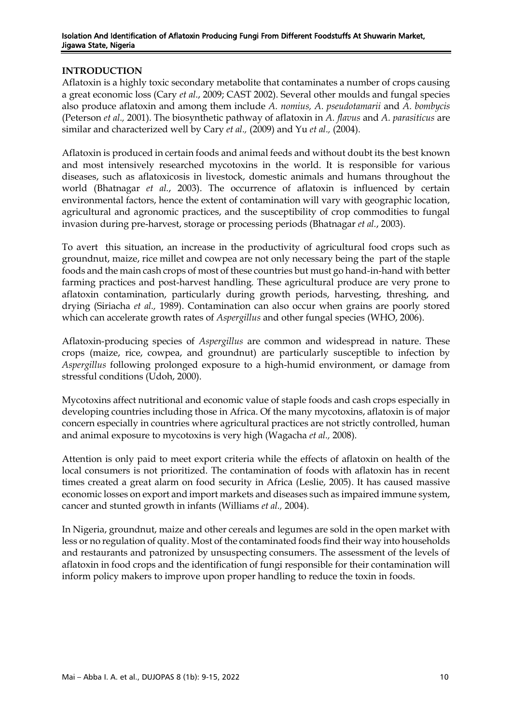## **INTRODUCTION**

Aflatoxin is a highly toxic secondary metabolite that contaminates a number of crops causing a great economic loss (Cary *et al*., 2009; CAST 2002). Several other moulds and fungal species also produce aflatoxin and among them include *A. nomius, A. pseudotamarii* and *A. bombycis*  (Peterson *et al.,* 2001). The biosynthetic pathway of aflatoxin in *A. flavus* and *A. parasiticus* are similar and characterized well by Cary *et al.,* (2009) and Yu *et al.,* (2004).

Aflatoxin is produced in certain foods and animal feeds and without doubt its the best known and most intensively researched mycotoxins in the world. It is responsible for various diseases, such as aflatoxicosis in livestock, domestic animals and humans throughout the world (Bhatnagar *et al.*, 2003). The occurrence of aflatoxin is influenced by certain environmental factors, hence the extent of contamination will vary with geographic location, agricultural and agronomic practices, and the susceptibility of crop commodities to fungal invasion during pre-harvest, storage or processing periods (Bhatnagar *et al.*, 2003).

To avert this situation, an increase in the productivity of agricultural food crops such as groundnut, maize, rice millet and cowpea are not only necessary being the part of the staple foods and the main cash crops of most of these countries but must go hand-in-hand with better farming practices and post-harvest handling. These agricultural produce are very prone to aflatoxin contamination, particularly during growth periods, harvesting, threshing, and drying (Siriacha *et al.,* 1989). Contamination can also occur when grains are poorly stored which can accelerate growth rates of *Aspergillus* and other fungal species (WHO, 2006).

Aflatoxin-producing species of *Aspergillus* are common and widespread in nature. These crops (maize, rice, cowpea, and groundnut) are particularly susceptible to infection by *Aspergillus* following prolonged exposure to a high-humid environment, or damage from stressful conditions (Udoh, 2000).

Mycotoxins affect nutritional and economic value of staple foods and cash crops especially in developing countries including those in Africa. Of the many mycotoxins, aflatoxin is of major concern especially in countries where agricultural practices are not strictly controlled, human and animal exposure to mycotoxins is very high (Wagacha *et al.,* 2008).

Attention is only paid to meet export criteria while the effects of aflatoxin on health of the local consumers is not prioritized. The contamination of foods with aflatoxin has in recent times created a great alarm on food security in Africa (Leslie, 2005). It has caused massive economic losses on export and import markets and diseases such as impaired immune system, cancer and stunted growth in infants (Williams *et al.,* 2004).

In Nigeria, groundnut, maize and other cereals and legumes are sold in the open market with less or no regulation of quality. Most of the contaminated foods find their way into households and restaurants and patronized by unsuspecting consumers. The assessment of the levels of aflatoxin in food crops and the identification of fungi responsible for their contamination will inform policy makers to improve upon proper handling to reduce the toxin in foods.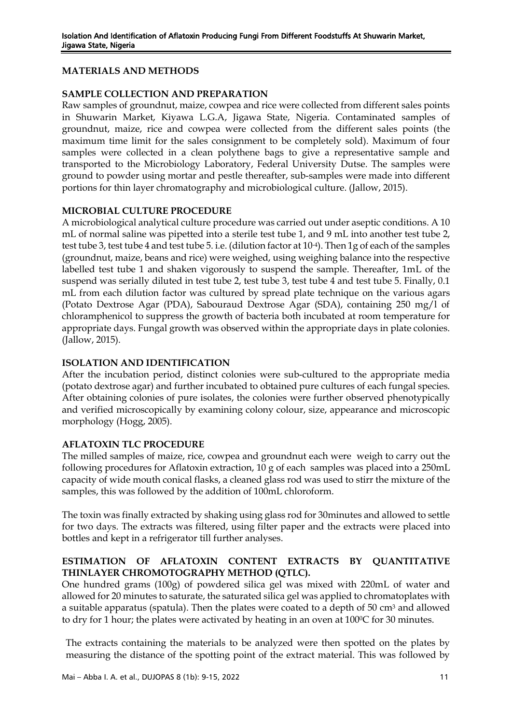## **MATERIALS AND METHODS**

## **SAMPLE COLLECTION AND PREPARATION**

Raw samples of groundnut, maize, cowpea and rice were collected from different sales points in Shuwarin Market, Kiyawa L.G.A, Jigawa State, Nigeria. Contaminated samples of groundnut, maize, rice and cowpea were collected from the different sales points (the maximum time limit for the sales consignment to be completely sold). Maximum of four samples were collected in a clean polythene bags to give a representative sample and transported to the Microbiology Laboratory, Federal University Dutse. The samples were ground to powder using mortar and pestle thereafter, sub-samples were made into different portions for thin layer chromatography and microbiological culture. (Jallow, 2015).

## **MICROBIAL CULTURE PROCEDURE**

A microbiological analytical culture procedure was carried out under aseptic conditions. A 10 mL of normal saline was pipetted into a sterile test tube 1, and 9 mL into another test tube 2, test tube 3, test tube 4 and test tube 5. i.e. (dilution factor at 10-4). Then 1g of each of the samples (groundnut, maize, beans and rice) were weighed, using weighing balance into the respective labelled test tube 1 and shaken vigorously to suspend the sample. Thereafter, 1mL of the suspend was serially diluted in test tube 2, test tube 3, test tube 4 and test tube 5. Finally, 0.1 mL from each dilution factor was cultured by spread plate technique on the various agars (Potato Dextrose Agar (PDA), Sabouraud Dextrose Agar (SDA), containing 250 mg/l of chloramphenicol to suppress the growth of bacteria both incubated at room temperature for appropriate days. Fungal growth was observed within the appropriate days in plate colonies. (Jallow, 2015).

# **ISOLATION AND IDENTIFICATION**

After the incubation period, distinct colonies were sub-cultured to the appropriate media (potato dextrose agar) and further incubated to obtained pure cultures of each fungal species. After obtaining colonies of pure isolates, the colonies were further observed phenotypically and verified microscopically by examining colony colour, size, appearance and microscopic morphology (Hogg, 2005).

## **AFLATOXIN TLC PROCEDURE**

The milled samples of maize, rice, cowpea and groundnut each were weigh to carry out the following procedures for Aflatoxin extraction, 10 g of each samples was placed into a 250mL capacity of wide mouth conical flasks, a cleaned glass rod was used to stirr the mixture of the samples, this was followed by the addition of 100mL chloroform.

The toxin was finally extracted by shaking using glass rod for 30minutes and allowed to settle for two days. The extracts was filtered, using filter paper and the extracts were placed into bottles and kept in a refrigerator till further analyses.

## **ESTIMATION OF AFLATOXIN CONTENT EXTRACTS BY QUANTITATIVE THINLAYER CHROMOTOGRAPHY METHOD (QTLC).**

One hundred grams (100g) of powdered silica gel was mixed with 220mL of water and allowed for 20 minutes to saturate, the saturated silica gel was applied to chromatoplates with a suitable apparatus (spatula). Then the plates were coated to a depth of  $50 \text{ cm}^3$  and allowed to dry for 1 hour; the plates were activated by heating in an oven at 100°C for 30 minutes.

The extracts containing the materials to be analyzed were then spotted on the plates by measuring the distance of the spotting point of the extract material. This was followed by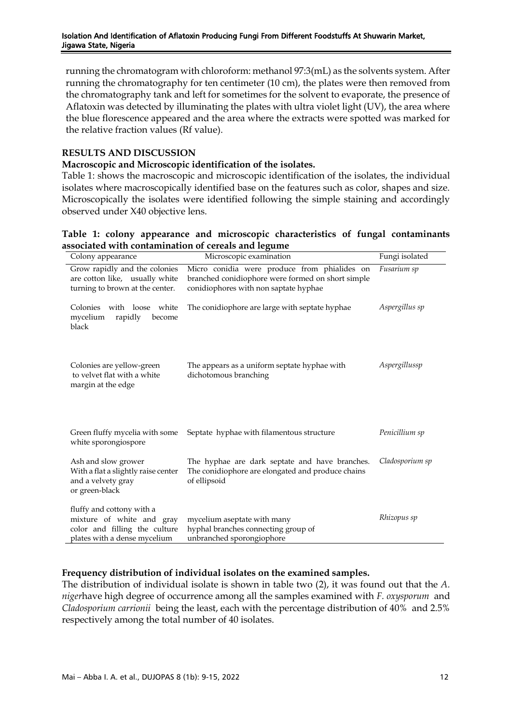running the chromatogram with chloroform: methanol 97:3(mL) as the solvents system. After running the chromatography for ten centimeter (10 cm), the plates were then removed from the chromatography tank and left for sometimes for the solvent to evaporate, the presence of Aflatoxin was detected by illuminating the plates with ultra violet light (UV), the area where the blue florescence appeared and the area where the extracts were spotted was marked for the relative fraction values (Rf value).

## **RESULTS AND DISCUSSION**

#### **Macroscopic and Microscopic identification of the isolates.**

Table 1: shows the macroscopic and microscopic identification of the isolates, the individual isolates where macroscopically identified base on the features such as color, shapes and size. Microscopically the isolates were identified following the simple staining and accordingly observed under X40 objective lens.

## **Table 1: colony appearance and microscopic characteristics of fungal contaminants associated with contamination of cereals and legume**

| Colony appearance                                                                                                       | Microscopic examination                                                                                                                    | Fungi isolated  |
|-------------------------------------------------------------------------------------------------------------------------|--------------------------------------------------------------------------------------------------------------------------------------------|-----------------|
| Grow rapidly and the colonies<br>are cotton like, usually white<br>turning to brown at the center.                      | Micro conidia were produce from phialides on<br>branched conidiophore were formed on short simple<br>conidiophores with non saptate hyphae | Fusarium sp     |
| Colonies with loose white<br>mycelium<br>rapidly<br>become<br>black                                                     | The conidiophore are large with septate hyphae                                                                                             | Aspergillus sp  |
| Colonies are yellow-green<br>to velvet flat with a white<br>margin at the edge                                          | The appears as a uniform septate hyphae with<br>dichotomous branching                                                                      | Aspergillussp   |
| Green fluffy mycelia with some<br>white sporongiospore                                                                  | Septate hyphae with filamentous structure                                                                                                  | Penicillium sp  |
| Ash and slow grower<br>With a flat a slightly raise center<br>and a velvety gray<br>or green-black                      | The hyphae are dark septate and have branches.<br>The conidiophore are elongated and produce chains<br>of ellipsoid                        | Cladosporium sp |
| fluffy and cottony with a<br>mixture of white and gray<br>color and filling the culture<br>plates with a dense mycelium | mycelium aseptate with many<br>hyphal branches connecting group of<br>unbranched sporongiophore                                            | Rhizopus sp     |

## **Frequency distribution of individual isolates on the examined samples.**

The distribution of individual isolate is shown in table two (2), it was found out that the *A. niger*have high degree of occurrence among all the samples examined with *F. oxysporum* and *Cladosporium carrionii* being the least, each with the percentage distribution of 40% and 2.5% respectively among the total number of 40 isolates.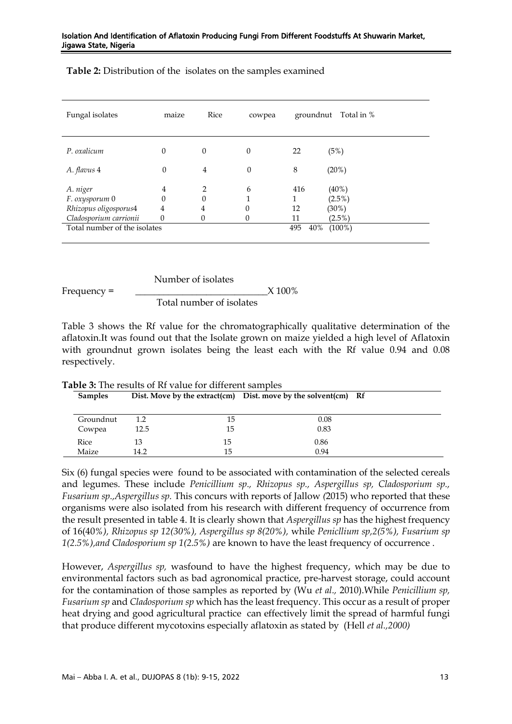| Fungal isolates                                                               | maize                                                    | Rice                         | cowpea      | groundnut       | Total in %                                     |
|-------------------------------------------------------------------------------|----------------------------------------------------------|------------------------------|-------------|-----------------|------------------------------------------------|
| P. oxalicum                                                                   | $\boldsymbol{0}$                                         | $\theta$                     | $\theta$    | 22              | (5%)                                           |
| A. flavus 4                                                                   | $\theta$                                                 | $\overline{4}$               | $\theta$    | 8               | (20%)                                          |
| A. niger<br>F. oxysporum 0<br>Rhizopus oligosporus4<br>Cladosporium carrionii | $\overline{4}$<br>$\theta$<br>$\overline{4}$<br>$\theta$ | $\mathcal{P}$<br>0<br>4<br>0 | 6<br>0<br>0 | 416<br>12<br>11 | $(40\%)$<br>$(2.5\%)$<br>$(30\%)$<br>$(2.5\%)$ |
| Total number of the isolates<br>495<br>40%<br>$(100\%)$                       |                                                          |                              |             |                 |                                                |

**Table 2:** Distribution of the isolates on the samples examined

$$
Frequency = \frac{\text{Number of isolates}}{\text{Total number of isolates}} \times 100\%
$$

Table 3 shows the Rf value for the chromatographically qualitative determination of the aflatoxin.It was found out that the Isolate grown on maize yielded a high level of Aflatoxin with groundnut grown isolates being the least each with the Rf value 0.94 and 0.08 respectively.

| <b>Samples</b> |         |    | Dist. Move by the extract(cm) Dist. move by the solvent(cm) Rf |  |
|----------------|---------|----|----------------------------------------------------------------|--|
| Groundnut      | $1.2\,$ | 15 | 0.08                                                           |  |
| Cowpea         | 12.5    | 15 | 0.83                                                           |  |
| Rice           | 13      | 15 | 0.86                                                           |  |
| Maize          | 14.2    | 15 | 0.94                                                           |  |

**Table 3:** The results of Rf value for different samples

Six (6) fungal species were found to be associated with contamination of the selected cereals and legumes. These include *Penicillium sp., Rhizopus sp., Aspergillus sp, Cladosporium sp., Fusarium sp.,Aspergillus sp.* This concurs with reports of Jallow *(*2015) who reported that these organisms were also isolated from his research with different frequency of occurrence from the result presented in table 4. It is clearly shown that *Aspergillus sp* has the highest frequency of 16(40*%), Rhizopus sp 12(30%), Aspergillus sp 8(20%),* while *Penicllium sp,2(5%), Fusarium sp 1(2.5%),and Cladosporium sp 1(2.5%)* are known to have the least frequency of occurrence .

However, *Aspergillus sp,* wasfound to have the highest frequency, which may be due to environmental factors such as bad agronomical practice, pre-harvest storage, could account for the contamination of those samples as reported by (Wu *et al.,* 2010).While *Penicillium sp, Fusarium sp* and *Cladosporium sp* which has the least frequency. This occur as a result of proper heat drying and good agricultural practice can effectively limit the spread of harmful fungi that produce different mycotoxins especially aflatoxin as stated by (Hell *et al.,2000)*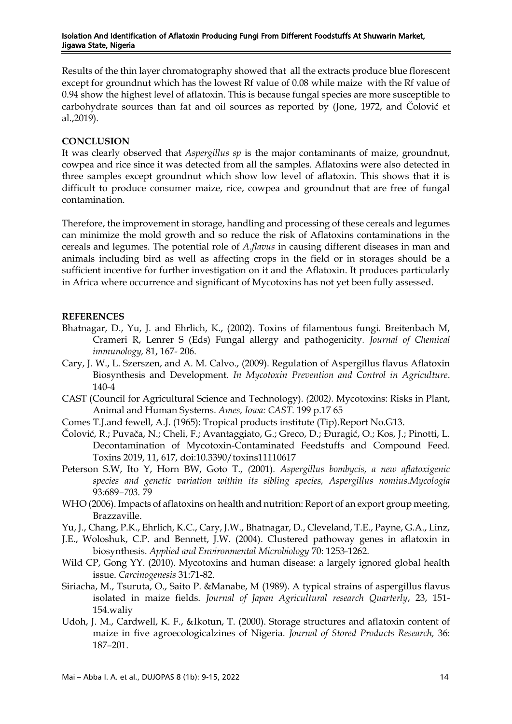Results of the thin layer chromatography showed that all the extracts produce blue florescent except for groundnut which has the lowest Rf value of 0.08 while maize with the Rf value of 0.94 show the highest level of aflatoxin. This is because fungal species are more susceptible to carbohydrate sources than fat and oil sources as reported by (Jone, 1972, and Čolović et al.,2019).

#### **CONCLUSION**

It was clearly observed that *Aspergillus sp* is the major contaminants of maize, groundnut, cowpea and rice since it was detected from all the samples. Aflatoxins were also detected in three samples except groundnut which show low level of aflatoxin. This shows that it is difficult to produce consumer maize, rice, cowpea and groundnut that are free of fungal contamination.

Therefore, the improvement in storage, handling and processing of these cereals and legumes can minimize the mold growth and so reduce the risk of Aflatoxins contaminations in the cereals and legumes. The potential role of *A.flavus* in causing different diseases in man and animals including bird as well as affecting crops in the field or in storages should be a sufficient incentive for further investigation on it and the Aflatoxin. It produces particularly in Africa where occurrence and significant of Mycotoxins has not yet been fully assessed.

#### **REFERENCES**

- Bhatnagar, D., Yu, J. and Ehrlich, K., (2002). Toxins of filamentous fungi. Breitenbach M, Crameri R, Lenrer S (Eds) Fungal allergy and pathogenicity*. Journal of Chemical immunology,* 81, 167- 206.
- Cary, J. W., L. Szerszen, and A. M. Calvo., (2009). Regulation of Aspergillus flavus Aflatoxin Biosynthesis and Development. *In Mycotoxin Prevention and Control in Agriculture*. 140-4
- CAST (Council for Agricultural Science and Technology). *(*2002*).* Mycotoxins: Risks in Plant, Animal and Human Systems. *Ames, Iowa: CAST.* 199 p.17 65
- Comes T.J.and fewell, A.J. (1965): Tropical products institute (Tip).Report No.G13.
- Čolović, R.; Puvača, N.; Cheli, F.; Avantaggiato, G.; Greco, D.; Đuragić, O.; Kos, J.; Pinotti, L. Decontamination of Mycotoxin-Contaminated Feedstuffs and Compound Feed. Toxins 2019, 11, 617, doi:10.3390/toxins11110617
- Peterson S.W, Ito Y, Horn BW, Goto T., *(*2001)*. Aspergillus bombycis, a new aflatoxigenic species and genetic variation within its sibling species, Aspergillus nomius.Mycologia*  93*:*689*–703.* 79
- WHO (2006). Impacts of aflatoxins on health and nutrition: Report of an export group meeting, Brazzaville.
- Yu, J., Chang, P.K., Ehrlich, K.C., Cary, J.W., Bhatnagar, D., Cleveland, T.E., Payne, G.A., Linz,
- J.E., Woloshuk, C.P. and Bennett, J.W. (2004). Clustered pathoway genes in aflatoxin in biosynthesis. *Applied and Environmental Microbiology* 70: 1253-1262.
- Wild CP, Gong YY. (2010). Mycotoxins and human disease: a largely ignored global health issue. *Carcinogenesis* 31:71-82.
- Siriacha, M., Tsuruta, O., Saito P. &Manabe, M (1989). A typical strains of aspergillus flavus isolated in maize fields. *Journal of Japan Agricultural research Quarterly*, 23, 151- 154.waliy
- Udoh, J. M., Cardwell, K. F., &Ikotun, T. (2000). Storage structures and aflatoxin content of maize in five agroecologicalzines of Nigeria. *Journal of Stored Products Research,* 36: 187–201.